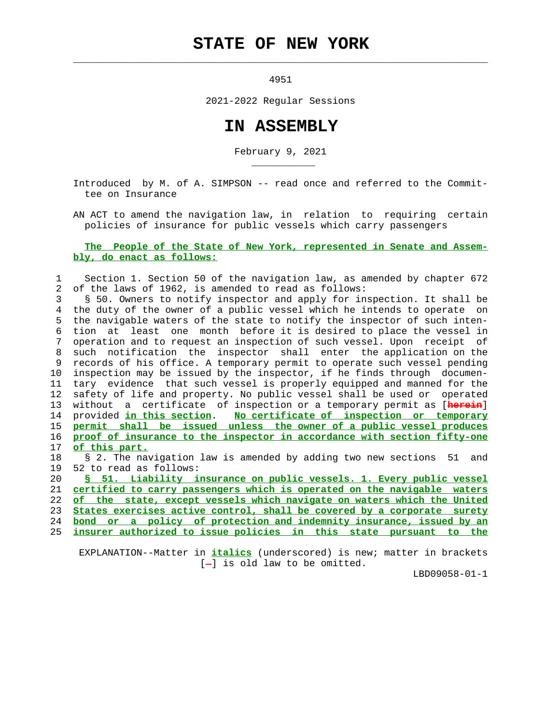## **STATE OF NEW YORK**

4951

 $\mathcal{L}_\text{max} = \frac{1}{2} \sum_{i=1}^{n} \frac{1}{2} \sum_{i=1}^{n} \frac{1}{2} \sum_{i=1}^{n} \frac{1}{2} \sum_{i=1}^{n} \frac{1}{2} \sum_{i=1}^{n} \frac{1}{2} \sum_{i=1}^{n} \frac{1}{2} \sum_{i=1}^{n} \frac{1}{2} \sum_{i=1}^{n} \frac{1}{2} \sum_{i=1}^{n} \frac{1}{2} \sum_{i=1}^{n} \frac{1}{2} \sum_{i=1}^{n} \frac{1}{2} \sum_{i=1}^{n} \frac{1$ 

\_\_\_\_\_\_\_\_\_\_\_

2021-2022 Regular Sessions

## **IN ASSEMBLY**

February 9, 2021

 Introduced by M. of A. SIMPSON -- read once and referred to the Commit tee on Insurance

 AN ACT to amend the navigation law, in relation to requiring certain policies of insurance for public vessels which carry passengers

## **The People of the State of New York, represented in Senate and Assem bly, do enact as follows:**

## 1 Section 1. Section 50 of the navigation law, as amended by chapter 672 2 of the laws of 1962, is amended to read as follows:

 3 § 50. Owners to notify inspector and apply for inspection. It shall be 4 the duty of the owner of a public vessel which he intends to operate on 5 the navigable waters of the state to notify the inspector of such inten- 6 tion at least one month before it is desired to place the vessel in 7 operation and to request an inspection of such vessel. Upon receipt of 8 such notification the inspector shall enter the application on the 9 records of his office. A temporary permit to operate such vessel pending 10 inspection may be issued by the inspector, if he finds through documen- 11 tary evidence that such vessel is properly equipped and manned for the 12 safety of life and property. No public vessel shall be used or operated 13 without a certificate of inspection or a temporary permit as [**herein**] 14 provided **in this section**. **No certificate of inspection or temporary** 15 **permit shall be issued unless the owner of a public vessel produces** 16 **proof of insurance to the inspector in accordance with section fifty-one** 17 **of this part.**

 18 § 2. The navigation law is amended by adding two new sections 51 and 19 52 to read as follows:

**§ 51. Liability insurance on public vessels. 1. Every public vessel certified to carry passengers which is operated on the navigable waters of the state, except vessels which navigate on waters which the United States exercises active control, shall be covered by a corporate surety bond or a policy of protection and indemnity insurance, issued by an**

25 **insurer authorized to issue policies in this state pursuant to the**

 EXPLANATION--Matter in **italics** (underscored) is new; matter in brackets  $[-]$  is old law to be omitted.

LBD09058-01-1